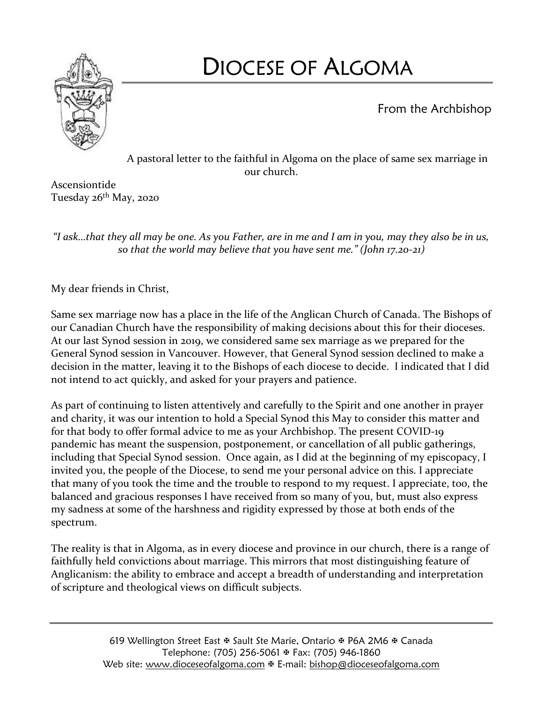

# DIOCESE OF ALGOMA

From the Archbishop

A pastoral letter to the faithful in Algoma on the place of same sex marriage in our church.

Ascensiontide Tuesday 26<sup>th</sup> May, 2020

*"I ask…that they all may be one. As you Father, are in me and I am in you, may they also be in us, so that the world may believe that you have sent me." (John 17.20-21)*

My dear friends in Christ,

Same sex marriage now has a place in the life of the Anglican Church of Canada. The Bishops of our Canadian Church have the responsibility of making decisions about this for their dioceses. At our last Synod session in 2019, we considered same sex marriage as we prepared for the General Synod session in Vancouver. However, that General Synod session declined to make a decision in the matter, leaving it to the Bishops of each diocese to decide. I indicated that I did not intend to act quickly, and asked for your prayers and patience.

As part of continuing to listen attentively and carefully to the Spirit and one another in prayer and charity, it was our intention to hold a Special Synod this May to consider this matter and for that body to offer formal advice to me as your Archbishop. The present COVID-19 pandemic has meant the suspension, postponement, or cancellation of all public gatherings, including that Special Synod session. Once again, as I did at the beginning of my episcopacy, I invited you, the people of the Diocese, to send me your personal advice on this. I appreciate that many of you took the time and the trouble to respond to my request. I appreciate, too, the balanced and gracious responses I have received from so many of you, but, must also express my sadness at some of the harshness and rigidity expressed by those at both ends of the spectrum.

The reality is that in Algoma, as in every diocese and province in our church, there is a range of faithfully held convictions about marriage. This mirrors that most distinguishing feature of Anglicanism: the ability to embrace and accept a breadth of understanding and interpretation of scripture and theological views on difficult subjects.

> 619 Wellington Street East & Sault Ste Marie, Ontario & P6A 2M6 & Canada Telephone: (705) 256-5061 Fax: (705) 946-1860 Web site: [www.dioceseofalgoma.com](http://www.dioceseofalgoma.com/) & E-mail: [bishop@dioceseofalgoma.com](mailto:bishop@dioceseofalgoma.com)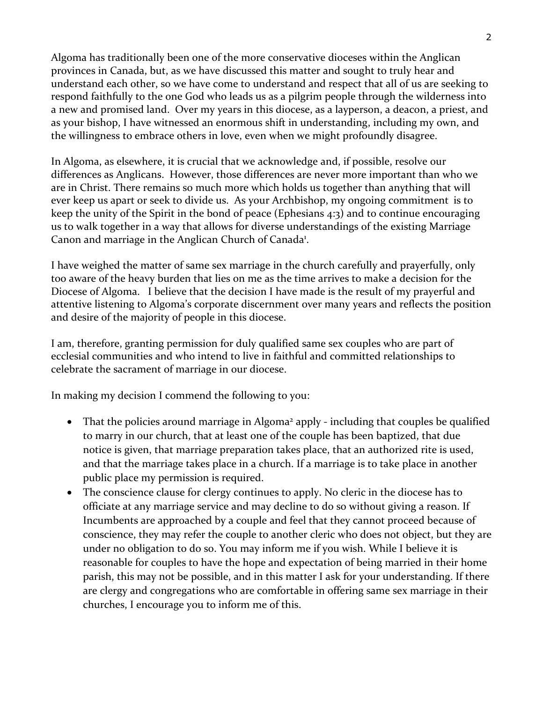Algoma has traditionally been one of the more conservative dioceses within the Anglican provinces in Canada, but, as we have discussed this matter and sought to truly hear and understand each other, so we have come to understand and respect that all of us are seeking to respond faithfully to the one God who leads us as a pilgrim people through the wilderness into a new and promised land. Over my years in this diocese, as a layperson, a deacon, a priest, and as your bishop, I have witnessed an enormous shift in understanding, including my own, and the willingness to embrace others in love, even when we might profoundly disagree.

In Algoma, as elsewhere, it is crucial that we acknowledge and, if possible, resolve our differences as Anglicans. However, those differences are never more important than who we are in Christ. There remains so much more which holds us together than anything that will ever keep us apart or seek to divide us. As your Archbishop, my ongoing commitment is to keep the unity of the Spirit in the bond of peace (Ephesians 4:3) and to continue encouraging us to walk together in a way that allows for diverse understandings of the existing Marriage Canon and marriage in the Anglican Church of Canada<sup>1</sup>.

I have weighed the matter of same sex marriage in the church carefully and prayerfully, only too aware of the heavy burden that lies on me as the time arrives to make a decision for the Diocese of Algoma. I believe that the decision I have made is the result of my prayerful and attentive listening to Algoma's corporate discernment over many years and reflects the position and desire of the majority of people in this diocese.

I am, therefore, granting permission for duly qualified same sex couples who are part of ecclesial communities and who intend to live in faithful and committed relationships to celebrate the sacrament of marriage in our diocese.

In making my decision I commend the following to you:

- That the policies around marriage in Algoma<sup>2</sup> apply including that couples be qualified to marry in our church, that at least one of the couple has been baptized, that due notice is given, that marriage preparation takes place, that an authorized rite is used, and that the marriage takes place in a church. If a marriage is to take place in another public place my permission is required.
- The conscience clause for clergy continues to apply. No cleric in the diocese has to officiate at any marriage service and may decline to do so without giving a reason. If Incumbents are approached by a couple and feel that they cannot proceed because of conscience, they may refer the couple to another cleric who does not object, but they are under no obligation to do so. You may inform me if you wish. While I believe it is reasonable for couples to have the hope and expectation of being married in their home parish, this may not be possible, and in this matter I ask for your understanding. If there are clergy and congregations who are comfortable in offering same sex marriage in their churches, I encourage you to inform me of this.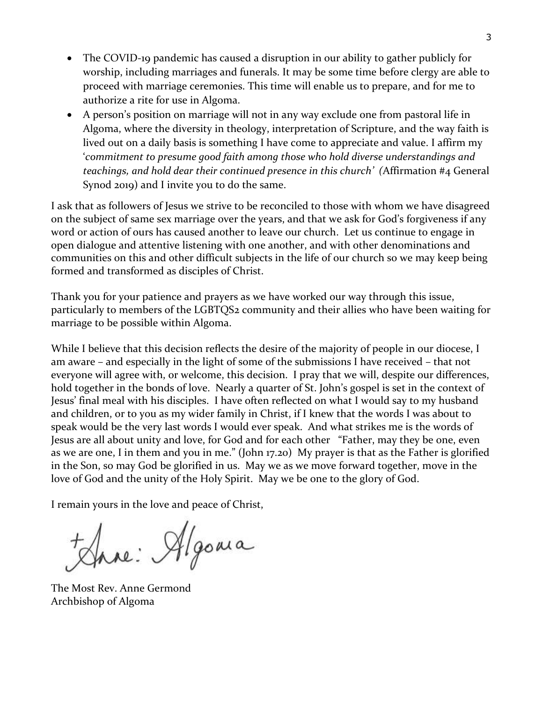- The COVID-19 pandemic has caused a disruption in our ability to gather publicly for worship, including marriages and funerals. It may be some time before clergy are able to proceed with marriage ceremonies. This time will enable us to prepare, and for me to authorize a rite for use in Algoma.
- A person's position on marriage will not in any way exclude one from pastoral life in Algoma, where the diversity in theology, interpretation of Scripture, and the way faith is lived out on a daily basis is something I have come to appreciate and value. I affirm my '*commitment to presume good faith among those who hold diverse understandings and teachings, and hold dear their continued presence in this church' (*Affirmation #4 General Synod 2019) and I invite you to do the same.

I ask that as followers of Jesus we strive to be reconciled to those with whom we have disagreed on the subject of same sex marriage over the years, and that we ask for God's forgiveness if any word or action of ours has caused another to leave our church. Let us continue to engage in open dialogue and attentive listening with one another, and with other denominations and communities on this and other difficult subjects in the life of our church so we may keep being formed and transformed as disciples of Christ.

Thank you for your patience and prayers as we have worked our way through this issue, particularly to members of the LGBTQS2 community and their allies who have been waiting for marriage to be possible within Algoma.

While I believe that this decision reflects the desire of the majority of people in our diocese, I am aware – and especially in the light of some of the submissions I have received – that not everyone will agree with, or welcome, this decision. I pray that we will, despite our differences, hold together in the bonds of love. Nearly a quarter of St. John's gospel is set in the context of Jesus' final meal with his disciples. I have often reflected on what I would say to my husband and children, or to you as my wider family in Christ, if I knew that the words I was about to speak would be the very last words I would ever speak. And what strikes me is the words of Jesus are all about unity and love, for God and for each other "Father, may they be one, even as we are one, I in them and you in me." (John 17.20) My prayer is that as the Father is glorified in the Son, so may God be glorified in us. May we as we move forward together, move in the love of God and the unity of the Holy Spirit. May we be one to the glory of God.

I remain yours in the love and peace of Christ,

Jane: Algonia

The Most Rev. Anne Germond Archbishop of Algoma